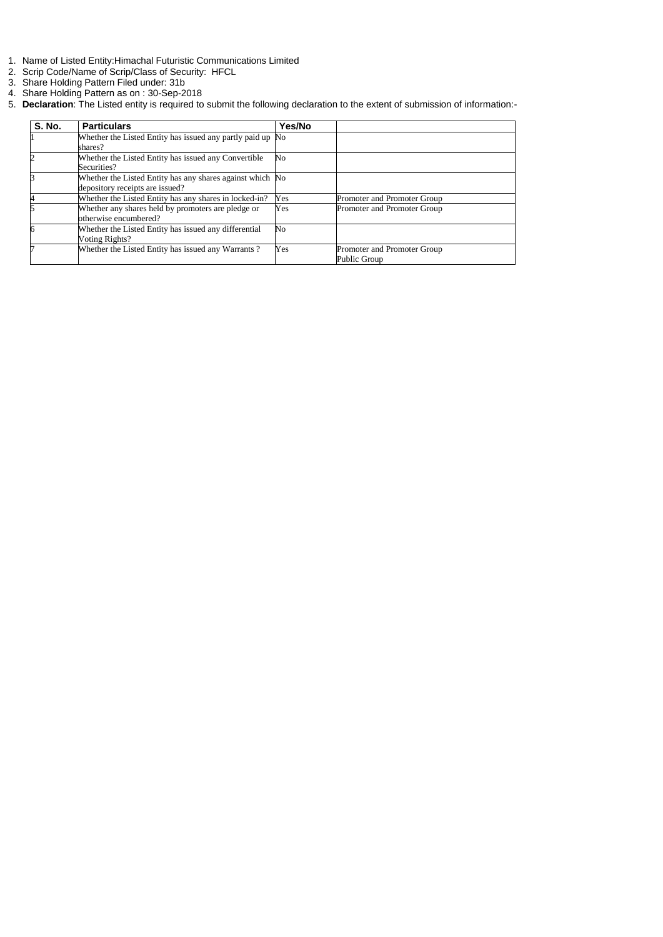- 1. Name of Listed Entity:Himachal Futuristic Communications Limited
- 2. Scrip Code/Name of Scrip/Class of Security: HFCL
- 3. Share Holding Pattern Filed under: 31b
- 4. Share Holding Pattern as on : 30-Sep-2018
- 5. **Declaration**: The Listed entity is required to submit the following declaration to the extent of submission of information:-

| <b>S. No.</b>  | <b>Particulars</b>                                                                           | Yes/No         |                                             |
|----------------|----------------------------------------------------------------------------------------------|----------------|---------------------------------------------|
|                | Whether the Listed Entity has issued any partly paid up No<br>shares?                        |                |                                             |
| $\overline{2}$ | Whether the Listed Entity has issued any Convertible<br>Securities?                          | No             |                                             |
| 3              | Whether the Listed Entity has any shares against which No<br>depository receipts are issued? |                |                                             |
| 4              | Whether the Listed Entity has any shares in locked-in?                                       | Yes            | Promoter and Promoter Group                 |
|                | Whether any shares held by promoters are pledge or<br>otherwise encumbered?                  | Yes            | Promoter and Promoter Group                 |
| 6              | Whether the Listed Entity has issued any differential<br>Voting Rights?                      | N <sub>o</sub> |                                             |
|                | Whether the Listed Entity has issued any Warrants?                                           | Yes            | Promoter and Promoter Group<br>Public Group |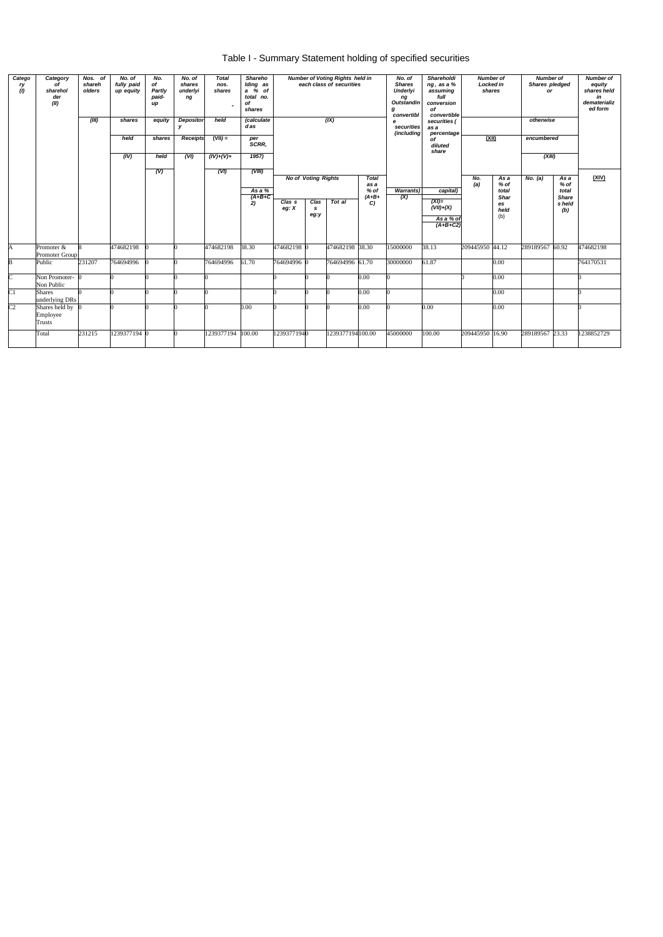| Table I - Summary Statement holding of specified securities |
|-------------------------------------------------------------|
|-------------------------------------------------------------|

| Catego<br>ry<br>(1) | Category<br>of<br>sharehol<br>der<br>(II) | Nos. of<br>shareh<br>olders<br>(III) | No. of<br>fully paid<br>up equity<br>shares | No.<br>of<br>Partly<br>paid-<br>иp<br>equity | No. of<br>shares<br>underlyi<br>ng<br><b>Depositor</b> | <b>Total</b><br>nos.<br>shares<br>held | <b>Shareho</b><br>Iding as<br>a % of<br>total no.<br>оf<br>shares<br>(calculate |                              |                            | <b>Number of Voting Rights held in</b><br>each class of securities<br>(X) |                        | No. of<br><b>Shares</b><br>Underlyi<br>ng<br><b>Outstandin</b><br>g<br>convertibl | Shareholdi<br>ng, as a %<br>assuming<br>full<br>conversion<br>of | <b>Number of</b><br>Locked in<br>shares<br>convertible |                                    | <b>Number of</b><br>Shares pledged<br>or<br>otherwise |                                        |            |
|---------------------|-------------------------------------------|--------------------------------------|---------------------------------------------|----------------------------------------------|--------------------------------------------------------|----------------------------------------|---------------------------------------------------------------------------------|------------------------------|----------------------------|---------------------------------------------------------------------------|------------------------|-----------------------------------------------------------------------------------|------------------------------------------------------------------|--------------------------------------------------------|------------------------------------|-------------------------------------------------------|----------------------------------------|------------|
|                     |                                           |                                      |                                             |                                              | У                                                      |                                        | das                                                                             |                              |                            |                                                                           |                        | е<br>securities                                                                   | securities (<br>as a                                             |                                                        |                                    |                                                       |                                        |            |
|                     |                                           |                                      | held                                        | shares                                       | <b>Receipts</b>                                        | $(VII) =$                              | per<br>SCRR,                                                                    |                              |                            |                                                                           |                        | (including                                                                        | percentage<br>οf<br>diluted<br>share                             | (XII)                                                  |                                    | encumbered                                            |                                        |            |
|                     |                                           |                                      | (IV)                                        | held                                         | (VI)                                                   | $(IV)+(V)+$                            | 1957)                                                                           |                              |                            |                                                                           |                        |                                                                                   |                                                                  |                                                        |                                    | (XIII)                                                |                                        |            |
|                     |                                           |                                      |                                             | (V)                                          |                                                        | (VI)                                   | (VIII)                                                                          |                              | <b>No of Voting Rights</b> |                                                                           | <b>Total</b><br>as a   |                                                                                   |                                                                  | No.<br>(a)                                             | As a<br>$%$ of                     | No. (a)                                               | As a<br>$%$ of                         | (XIV)      |
|                     |                                           |                                      |                                             |                                              |                                                        |                                        | As a %<br>$(A+B+C)$<br>2)                                                       | Clas <sub>s</sub><br>eg: $X$ | Clas<br>s<br>eg:y          | Tot al                                                                    | $%$ of<br>$(A+B+$<br>C | <b>Warrants)</b><br>$\overline{(\mathsf{X})}$                                     | capital)<br>$(XI)=$<br>$(VII)+(X)$                               |                                                        | total<br><b>Shar</b><br>es<br>held |                                                       | total<br><b>Share</b><br>s held<br>(b) |            |
|                     |                                           |                                      |                                             |                                              |                                                        |                                        |                                                                                 |                              |                            |                                                                           |                        |                                                                                   | As a % of<br>$(A+B+C2)$                                          |                                                        | (b)                                |                                                       |                                        |            |
| A                   | Promoter &<br>Promoter Group              |                                      | 474682198                                   |                                              |                                                        | 474682198                              | 38.30                                                                           | 474682198 0                  |                            | 474682198 38.30                                                           |                        | 15000000                                                                          | 38.13                                                            | 209445950 44.12                                        |                                    | 289189567 60.92                                       |                                        | 474682198  |
| B                   | Public                                    | 231207                               | 764694996                                   |                                              |                                                        | 764694996                              | 61.70                                                                           | 764694996 0                  |                            | 764694996 61.70                                                           |                        | 30000000                                                                          | 61.87                                                            |                                                        | 0.00                               |                                                       |                                        | 764170531  |
| C                   | Non Promoter- 0<br>Non Public             |                                      |                                             |                                              |                                                        |                                        |                                                                                 |                              |                            |                                                                           | 0.00                   |                                                                                   |                                                                  |                                                        | 0.00                               |                                                       |                                        |            |
| C1                  | <b>Shares</b><br>underlying DRs           |                                      |                                             |                                              |                                                        |                                        |                                                                                 |                              |                            |                                                                           | 0.00                   |                                                                                   |                                                                  |                                                        | 0.00                               |                                                       |                                        |            |
| C <sub>2</sub>      | Shares held by<br>Employee<br>Trusts      |                                      |                                             |                                              |                                                        |                                        | 0.00                                                                            |                              |                            |                                                                           | 0.00                   |                                                                                   | 0.00                                                             |                                                        | 0.00                               |                                                       |                                        |            |
|                     | Total                                     | 231215                               | 1239377194 0                                |                                              |                                                        | 1239377194                             | 100.00                                                                          | 12393771940                  |                            | 1239377194100.00                                                          |                        | 45000000                                                                          | 100.00                                                           | 209445950 16.90                                        |                                    | 289189567 23.33                                       |                                        | 1238852729 |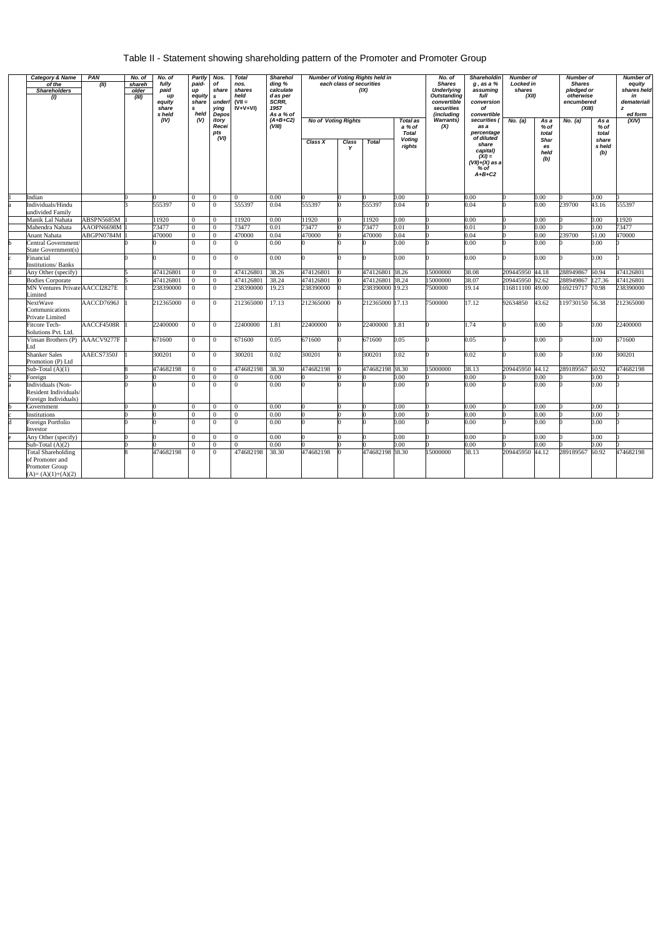## Table II - Statement showing shareholding pattern of the Promoter and Promoter Group

| <b>Category &amp; Name</b><br>of the<br><b>Shareholders</b><br>(1) | PAN<br>(II) | No. of<br>shareh<br>older<br>(III) | No. of<br>fully<br>paid<br>up<br>equity<br>share<br>s held<br>(IV) | Partly<br>paid-<br>up<br>equity<br>share<br>s<br>held<br>(V) | Nos.<br>of<br>share<br>$\mathbf{s}$<br>underl<br>ying<br>Depos<br>itory | <b>Total</b><br>nos.<br>shares<br>held<br>$(VII =$<br>$\dot{V} + V + VI$ | <b>Sharehol</b><br>ding %<br>calculate<br>d as per<br>SCRR,<br>1957<br>As a % of<br>$(A+B+C2)$ | <b>No of Voting Rights</b> | each class of securities | <b>Number of Voting Rights held in</b><br>(IX) | <b>Total as</b>                         | No. of<br>Shareholdin<br><b>Shares</b><br>$g$ , as a $%$<br><b>Underlying</b><br>assuming<br><b>Outstanding</b><br>full<br>convertible<br>conversion<br>securities<br>of<br>(including<br>convertible<br><b>Warrants)</b><br>securities ( |                                                                     | <b>Number of</b><br>Locked in<br>shares<br>(XII)<br>No. (a) |                               | <b>Number of</b><br><b>Shares</b><br>pledged or<br>otherwise<br>encumbered<br>(XIII)<br>No. (a)<br>As a |                          | <b>Number of</b><br>equity<br>shares held<br>in<br>demateriali<br>z<br>ed form<br>(XIV) |
|--------------------------------------------------------------------|-------------|------------------------------------|--------------------------------------------------------------------|--------------------------------------------------------------|-------------------------------------------------------------------------|--------------------------------------------------------------------------|------------------------------------------------------------------------------------------------|----------------------------|--------------------------|------------------------------------------------|-----------------------------------------|-------------------------------------------------------------------------------------------------------------------------------------------------------------------------------------------------------------------------------------------|---------------------------------------------------------------------|-------------------------------------------------------------|-------------------------------|---------------------------------------------------------------------------------------------------------|--------------------------|-----------------------------------------------------------------------------------------|
|                                                                    |             |                                    |                                                                    |                                                              | Recei<br>pts<br>(VI)                                                    |                                                                          | (VIII)                                                                                         | Class X                    | Class                    | <b>Total</b>                                   | a % of<br><b>Total</b><br><b>Voting</b> | (X)                                                                                                                                                                                                                                       | as a<br>percentage<br>of diluted                                    |                                                             | As a<br>% of<br>total<br>Shar |                                                                                                         | $%$ of<br>total<br>share |                                                                                         |
|                                                                    |             |                                    |                                                                    |                                                              |                                                                         |                                                                          |                                                                                                |                            | Y                        |                                                | rights                                  |                                                                                                                                                                                                                                           | share<br>capital)<br>$(XI) =$<br>(VII)+(X) as a<br>% of<br>$A+B+C2$ |                                                             | es<br>held<br>(b)             |                                                                                                         | s held<br>(b)            |                                                                                         |
| Indian                                                             |             |                                    |                                                                    | $\overline{0}$                                               | $\overline{0}$                                                          | $\overline{0}$                                                           | 0.00                                                                                           |                            |                          |                                                | 0.00                                    |                                                                                                                                                                                                                                           | 0.00                                                                |                                                             | 0.00                          |                                                                                                         | 0.00                     |                                                                                         |
| Individuals/Hindu<br>undivided Family                              |             |                                    | 555397                                                             | $\theta$                                                     | $\Omega$                                                                | 555397                                                                   | 0.04                                                                                           | 555397                     |                          | 555397                                         | 0.04                                    |                                                                                                                                                                                                                                           | 0.04                                                                |                                                             | 0.00                          | 239700                                                                                                  | 43.16                    | 555397                                                                                  |
| Manik Lal Nahata                                                   | ABSPN5685M  |                                    | 11920                                                              | $\Omega$                                                     | $\overline{0}$                                                          | 11920                                                                    | 0.00                                                                                           | 11920                      |                          | 11920                                          | 0.00                                    |                                                                                                                                                                                                                                           | 0.00                                                                |                                                             | 0.00                          |                                                                                                         | 0.00                     | 11920                                                                                   |
| Mahendra Nahata                                                    | AAOPN6698M  |                                    | 73477                                                              | $\overline{0}$                                               | $\overline{0}$                                                          | 73477                                                                    | 0.01                                                                                           | 73477                      |                          | 73477                                          | 0.01                                    |                                                                                                                                                                                                                                           | 0.01                                                                |                                                             | 0.001                         |                                                                                                         | 0.00                     | 73477                                                                                   |
| Anant Nahata                                                       | ABGPN0784M  |                                    | 470000                                                             | $\overline{0}$                                               | $\overline{0}$                                                          | 470000                                                                   | 0.04                                                                                           | 470000                     |                          | 470000                                         | 0.04                                    |                                                                                                                                                                                                                                           | 0.04                                                                |                                                             | 0.00                          | 239700                                                                                                  | 51.00                    | 470000                                                                                  |
| Central Government/<br>State Government(s)                         |             |                                    |                                                                    | $\Omega$                                                     | $\Omega$                                                                | $\overline{0}$                                                           | 0.00                                                                                           |                            |                          |                                                | 0.00                                    |                                                                                                                                                                                                                                           | 0.00                                                                |                                                             | 0.00                          |                                                                                                         | 0.00                     |                                                                                         |
| Financial<br><b>Institutions/Banks</b>                             |             |                                    |                                                                    | $\Omega$                                                     | $\Omega$                                                                | $\theta$                                                                 | 0.00                                                                                           |                            |                          |                                                | 0.00                                    |                                                                                                                                                                                                                                           | 0.00                                                                |                                                             | 0.001                         |                                                                                                         | 0.00                     |                                                                                         |
| Any Other (specify)                                                |             |                                    | 474126801                                                          | $\overline{0}$                                               | $\overline{0}$                                                          | 474126801                                                                | 38.26                                                                                          | 474126801                  |                          | 474126801                                      | 38.26                                   | 15000000                                                                                                                                                                                                                                  | 38.08                                                               | 209445950 44.18                                             |                               | 288949867 60.94                                                                                         |                          | 474126801                                                                               |
| <b>Bodies Corporate</b>                                            |             |                                    | 474126801                                                          | $\overline{0}$                                               | $\overline{0}$                                                          | 474126801                                                                | 38.24                                                                                          | 474126801                  |                          | 474126801 38.24                                |                                         | 15000000                                                                                                                                                                                                                                  | 38.07                                                               | 209445950 92.62                                             |                               | 288949867 127.36                                                                                        |                          | 474126801                                                                               |
| MN Ventures Private AACCI2827E<br>Limited                          |             |                                    | 238390000                                                          | $\Omega$                                                     | $\overline{0}$                                                          | 238390000                                                                | 19.23                                                                                          | 238390000                  |                          | 238390000 19.23                                |                                         | 7500000                                                                                                                                                                                                                                   | 19.14                                                               | 116811100 49.00                                             |                               | 169219717 70.98                                                                                         |                          | 238390000                                                                               |
| NextWave<br>Communications<br>Private Limited                      | AACCD7696J  |                                    | 212365000                                                          | $\overline{0}$                                               | $\overline{0}$                                                          | 212365000                                                                | 17.13                                                                                          | 212365000                  |                          | 212365000 17.13                                |                                         | 7500000                                                                                                                                                                                                                                   | 17.12                                                               | 92634850                                                    | 43.62                         | 119730150 56.38                                                                                         |                          | 212365000                                                                               |
| <b>Fitcore Tech-</b><br>Solutions Pvt. Ltd.                        | AACCF4508R  |                                    | 22400000                                                           | $\theta$                                                     | $\overline{0}$                                                          | 22400000                                                                 | 1.81                                                                                           | 22400000                   |                          | 22400000                                       | 1.81                                    |                                                                                                                                                                                                                                           | 1.74                                                                |                                                             | 0.001                         |                                                                                                         | 0.00                     | 22400000                                                                                |
| Vinsan Brothers (P)<br>ht.                                         | AAACV9277F  |                                    | 671600                                                             | $\theta$                                                     | $\overline{0}$                                                          | 671600                                                                   | 0.05                                                                                           | 671600                     |                          | 671600                                         | 0.05                                    |                                                                                                                                                                                                                                           | 0.05                                                                |                                                             | 0.00                          |                                                                                                         | 0.00                     | 671600                                                                                  |
| <b>Shanker Sales</b><br>Promotion (P) Ltd                          | AAECS7350J  |                                    | 300201                                                             | $\overline{0}$                                               | $\overline{0}$                                                          | 300201                                                                   | 0.02                                                                                           | 300201                     |                          | 300201                                         | 0.02                                    |                                                                                                                                                                                                                                           | 0.02                                                                |                                                             | 0.00                          |                                                                                                         | 0.00                     | 300201                                                                                  |
| Sub-Total $(A)(1)$                                                 |             |                                    | 474682198                                                          | $\theta$                                                     | $\overline{0}$                                                          | 474682198                                                                | 38.30                                                                                          | 474682198                  |                          | 474682198                                      | 38.30                                   | 15000000                                                                                                                                                                                                                                  | 38.13                                                               | 209445950 44.12                                             |                               | 289189567 60.92                                                                                         |                          | 474682198                                                                               |
| Foreign                                                            |             |                                    |                                                                    | $\Omega$                                                     | $\overline{0}$                                                          | $\overline{0}$                                                           | 0.00                                                                                           |                            |                          |                                                | 0.00                                    |                                                                                                                                                                                                                                           | 0.00                                                                |                                                             | 0.00                          |                                                                                                         | 0.00                     |                                                                                         |
| Individuals (Non-<br>Resident Individuals/                         |             |                                    |                                                                    | $\Omega$                                                     | $\overline{0}$                                                          | $\theta$                                                                 | 0.00                                                                                           |                            |                          |                                                | 0.00                                    |                                                                                                                                                                                                                                           | 0.00                                                                |                                                             | 0.00                          |                                                                                                         | 0.001                    |                                                                                         |
| Foreign Individuals)                                               |             |                                    |                                                                    |                                                              |                                                                         |                                                                          |                                                                                                |                            |                          |                                                |                                         |                                                                                                                                                                                                                                           |                                                                     |                                                             |                               |                                                                                                         |                          |                                                                                         |
| Government                                                         |             |                                    |                                                                    | $\theta$                                                     | $\overline{0}$                                                          | $\overline{0}$                                                           | 0.00                                                                                           |                            |                          |                                                | 0.00                                    |                                                                                                                                                                                                                                           | 0.00                                                                |                                                             | 0.001                         |                                                                                                         | 0.00                     |                                                                                         |
| Institutions                                                       |             |                                    |                                                                    | $\theta$                                                     | $\overline{0}$                                                          | $\Omega$                                                                 | 0.00                                                                                           |                            |                          |                                                | 0.00                                    |                                                                                                                                                                                                                                           | 0.00                                                                |                                                             | 0.00                          |                                                                                                         | 0.00                     |                                                                                         |
| Foreign Portfolio<br>Investor                                      |             |                                    |                                                                    | $\Omega$                                                     | $\overline{0}$                                                          | $\overline{0}$                                                           | 0.00                                                                                           |                            |                          |                                                | 0.00                                    |                                                                                                                                                                                                                                           | 0.00                                                                |                                                             | 0.00                          |                                                                                                         | 0.00                     |                                                                                         |
| Any Other (specify)                                                |             |                                    |                                                                    | $\theta$                                                     | $\overline{0}$                                                          | $\theta$                                                                 | 0.00                                                                                           |                            |                          |                                                | 0.00                                    |                                                                                                                                                                                                                                           | 0.00                                                                |                                                             | 0.00                          |                                                                                                         | 0.00                     |                                                                                         |
| Sub-Total $(A)(2)$                                                 |             |                                    |                                                                    | $\Omega$                                                     | $\overline{0}$                                                          | $\Omega$                                                                 | 0.00                                                                                           |                            |                          |                                                | 0.00                                    |                                                                                                                                                                                                                                           | 0.00                                                                |                                                             | 0.00                          |                                                                                                         | 0.00                     |                                                                                         |
| <b>Total Shareholding</b><br>of Promoter and<br>Promoter Group     |             |                                    | 474682198                                                          | $\Omega$                                                     | $\overline{0}$                                                          | 474682198                                                                | 38.30                                                                                          | 474682198                  |                          | 474682198 38.30                                |                                         | 15000000                                                                                                                                                                                                                                  | 38.13                                                               | 209445950 44.12                                             |                               | 289189567                                                                                               | 60.92                    | 474682198                                                                               |
| $(A)=(A)(1)+(A)(2)$                                                |             |                                    |                                                                    |                                                              |                                                                         |                                                                          |                                                                                                |                            |                          |                                                |                                         |                                                                                                                                                                                                                                           |                                                                     |                                                             |                               |                                                                                                         |                          |                                                                                         |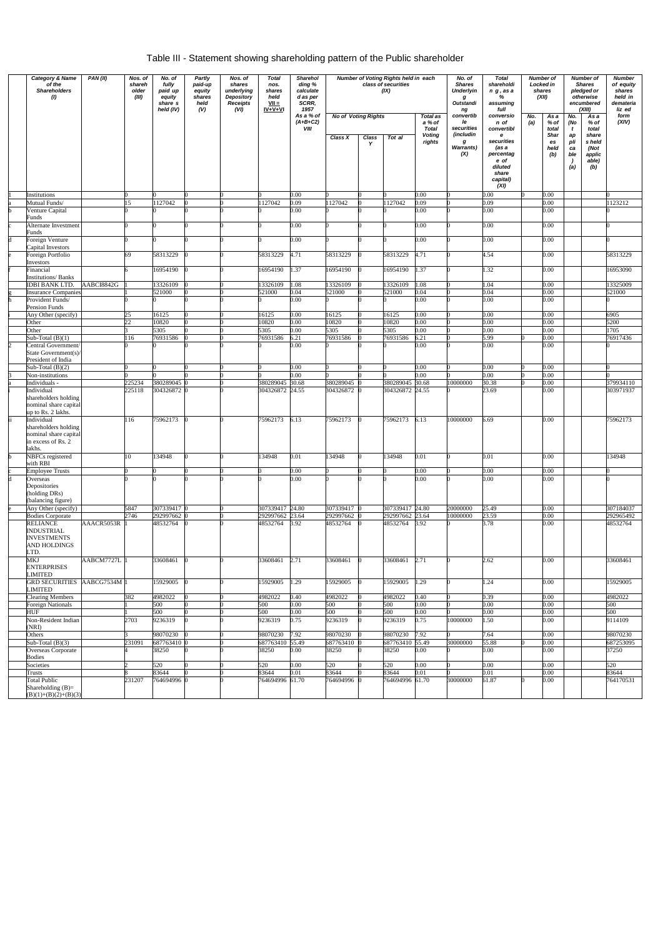## Table III - Statement showing shareholding pattern of the Public shareholder

| <b>Category &amp; Name</b><br>PAN(II)<br>of the<br><b>Shareholders</b><br>(1) |                                                                                     |            | Nos. of<br>shareh<br>older<br>(III) | No. of<br>fully<br>paid up<br>equity<br>share s<br>held (IV) | <b>Partly</b><br>paid-up<br>equity<br>shares<br>held<br>(V) | Nos. of<br>shares<br>underlying<br><b>Depository</b><br><b>Receipts</b><br>(VI) | <b>Total</b><br>nos.<br>shares<br>held<br>$VII =$<br>$IV+V+VI$ | Sharehol<br>ding %<br>calculate<br>d as per<br>SCRR,<br>1957 |                            |                   | Number of Voting Rights held in each<br>class of securities<br>(IX) |                                    | No. of<br><b>Shares</b><br><b>Underlyin</b><br>g<br>Outstandi<br>ng | <b>Total</b><br>shareholdi<br>n g, as a<br>%<br>assuming<br>full                      | <b>Number</b> of<br>Locked in<br>shares<br>(XII)<br>No.<br>As a |                                  | <b>Number of</b><br><b>Shares</b><br>pledged or<br>otherwise<br>encumbered<br>(XIII)<br>Asa |                                                   | <b>Number</b><br>of equity<br>shares<br>held in<br>demateria<br>liz ed<br>form |
|-------------------------------------------------------------------------------|-------------------------------------------------------------------------------------|------------|-------------------------------------|--------------------------------------------------------------|-------------------------------------------------------------|---------------------------------------------------------------------------------|----------------------------------------------------------------|--------------------------------------------------------------|----------------------------|-------------------|---------------------------------------------------------------------|------------------------------------|---------------------------------------------------------------------|---------------------------------------------------------------------------------------|-----------------------------------------------------------------|----------------------------------|---------------------------------------------------------------------------------------------|---------------------------------------------------|--------------------------------------------------------------------------------|
|                                                                               |                                                                                     |            |                                     |                                                              |                                                             |                                                                                 |                                                                | As a % of<br>$(A+B+C2)$<br>VIII                              | <b>No of Voting Rights</b> |                   |                                                                     | Total as<br>a % of<br><b>Total</b> | convertib<br>le<br>securities                                       | conversio<br>n of<br>convertibl                                                       | (a)                                                             | $%$ of<br>total                  | No.<br>(No<br>$\mathbf{t}$                                                                  | % of<br>total                                     | (XIV)                                                                          |
|                                                                               |                                                                                     |            |                                     |                                                              |                                                             |                                                                                 |                                                                |                                                              | Class X                    | <b>Class</b><br>Y | Tot al                                                              | <b>Voting</b><br>rights            | (includin<br>g<br><b>Warrants)</b><br>(X)                           | e<br>securities<br>(as a<br>percentag<br>e of<br>diluted<br>share<br>capital)<br>(XI) |                                                                 | <b>Shar</b><br>es<br>held<br>(b) | ap<br>pli<br>ca<br>ble<br>(a)                                                               | share<br>s held<br>(Not<br>applic<br>able)<br>(b) |                                                                                |
|                                                                               | Institutions<br>Mutual Funds/                                                       |            | 15                                  | 1127042                                                      |                                                             |                                                                                 | 1127042                                                        | 0.00<br>0.09                                                 | 1127042                    |                   | 1127042                                                             | 0.00<br>0.09                       |                                                                     | 0.00<br>0.09                                                                          |                                                                 | 0.00<br>0.00                     |                                                                                             |                                                   | 123212                                                                         |
|                                                                               | Venture Capital                                                                     |            |                                     |                                                              |                                                             |                                                                                 |                                                                | 0.00                                                         |                            |                   |                                                                     | 0.00                               |                                                                     | 0.00                                                                                  |                                                                 | 0.00                             |                                                                                             |                                                   |                                                                                |
|                                                                               | Funds<br>Alternate Investment                                                       |            |                                     |                                                              |                                                             |                                                                                 |                                                                | 0.00                                                         |                            |                   |                                                                     | 0.00                               |                                                                     | $0.00\,$                                                                              |                                                                 | $0.00\,$                         |                                                                                             |                                                   |                                                                                |
|                                                                               | Funds<br>Foreign Venture                                                            |            |                                     |                                                              |                                                             |                                                                                 |                                                                | 0.00                                                         |                            |                   |                                                                     | 0.00                               |                                                                     | 0.00                                                                                  |                                                                 | 0.00                             |                                                                                             |                                                   |                                                                                |
|                                                                               | Capital Investors                                                                   |            |                                     |                                                              |                                                             |                                                                                 |                                                                |                                                              |                            |                   |                                                                     |                                    |                                                                     |                                                                                       |                                                                 |                                  |                                                                                             |                                                   |                                                                                |
|                                                                               | Foreign Portfolio<br>Investors                                                      |            | 69                                  | 58313229                                                     |                                                             |                                                                                 | 58313229                                                       | 4.71                                                         | 58313229                   |                   | 58313229                                                            | 4.71                               |                                                                     | 4.54                                                                                  |                                                                 | 0.00                             |                                                                                             |                                                   | 58313229                                                                       |
|                                                                               | Financial<br><b>Institutions/Banks</b>                                              |            |                                     | 16954190                                                     |                                                             |                                                                                 | 16954190                                                       | 1.37                                                         | 16954190                   |                   | 16954190                                                            | 1.37                               |                                                                     | 1.32                                                                                  |                                                                 | 0.00                             |                                                                                             |                                                   | 16953090                                                                       |
|                                                                               | <b>IDBI BANK LTD.</b>                                                               | AABCI8842G |                                     | 13326109                                                     |                                                             |                                                                                 | 13326109                                                       | 1.08                                                         | 13326109                   |                   | 13326109                                                            | 1.08                               |                                                                     | 1.04                                                                                  |                                                                 | 0.00                             |                                                                                             |                                                   | 13325009                                                                       |
|                                                                               | <b>Insurance Companies</b>                                                          |            |                                     | 521000                                                       |                                                             |                                                                                 | 521000                                                         | 0.04                                                         | 521000                     |                   | 521000                                                              | 0.04<br>0.00                       |                                                                     | 0.04                                                                                  |                                                                 | 0.00                             |                                                                                             |                                                   | 521000                                                                         |
|                                                                               | Provident Funds/<br>Pension Funds                                                   |            |                                     |                                                              |                                                             |                                                                                 |                                                                | 0.00                                                         |                            |                   |                                                                     |                                    |                                                                     | 0.00                                                                                  |                                                                 | 0.00                             |                                                                                             |                                                   |                                                                                |
|                                                                               | Any Other (specify)                                                                 |            | 25                                  | 16125                                                        |                                                             |                                                                                 | 16125                                                          | 0.00                                                         | 16125                      |                   | 16125                                                               | 0.00                               |                                                                     | 0.00                                                                                  |                                                                 | 0.00                             |                                                                                             |                                                   | 6905                                                                           |
|                                                                               | Other                                                                               |            | 22                                  | 10820                                                        |                                                             |                                                                                 | 10820                                                          | 0.00                                                         | 10820                      |                   | 10820                                                               | 0.00                               |                                                                     | 0.00                                                                                  |                                                                 | 0.00                             |                                                                                             |                                                   | 5200                                                                           |
|                                                                               | Other                                                                               |            |                                     | 5305                                                         |                                                             |                                                                                 | 5305                                                           | 0.00                                                         | 5305                       |                   | 5305                                                                | 0.00                               |                                                                     | 0.00                                                                                  |                                                                 | 0.00                             |                                                                                             |                                                   | 1705                                                                           |
|                                                                               | Sub-Total $(B)(1)$                                                                  |            | 116                                 | 76931586                                                     |                                                             |                                                                                 | 76931586                                                       | 6.21                                                         | 76931586                   |                   | 76931586                                                            | 6.21                               |                                                                     | 5.99                                                                                  |                                                                 | 0.00                             |                                                                                             |                                                   | 76917436                                                                       |
|                                                                               | Central Government/<br>State Government(s)/<br>President of India                   |            |                                     |                                                              |                                                             |                                                                                 |                                                                | 0.00                                                         |                            |                   |                                                                     | 0.00                               |                                                                     | 0.00                                                                                  |                                                                 | 0.00                             |                                                                                             |                                                   |                                                                                |
|                                                                               | Sub-Total $(B)(2)$                                                                  |            |                                     |                                                              |                                                             |                                                                                 |                                                                | 0.00                                                         |                            |                   |                                                                     | 0.00                               |                                                                     | 0.00                                                                                  |                                                                 | 0.00                             |                                                                                             |                                                   |                                                                                |
|                                                                               | Non-institutions                                                                    |            |                                     |                                                              |                                                             |                                                                                 |                                                                | 0.00                                                         |                            |                   |                                                                     | 0.00                               |                                                                     | 0.00                                                                                  |                                                                 | 0.00                             |                                                                                             |                                                   |                                                                                |
|                                                                               | Individuals -<br>Individual                                                         |            | 225234<br>225118                    | 380289045<br>304326872 0                                     |                                                             |                                                                                 | 380289045<br>304326872 24.55                                   | 30.68                                                        | 380289045<br>304326872 0   |                   | 380289045<br>304326872 24.55                                        | 30.68                              | 10000000                                                            | 30.38<br>23.69                                                                        |                                                                 | 0.00<br>0.00                     |                                                                                             |                                                   | 379934110<br>303971937                                                         |
|                                                                               | shareholders holding<br>nominal share capital<br>up to Rs. 2 lakhs.                 |            |                                     |                                                              |                                                             |                                                                                 |                                                                |                                                              |                            |                   |                                                                     |                                    |                                                                     |                                                                                       |                                                                 |                                  |                                                                                             |                                                   |                                                                                |
| Ιï                                                                            | Individual<br>shareholders holding<br>nominal share capital<br>in excess of Rs. $2$ |            | 116                                 | 75962173                                                     |                                                             |                                                                                 | 75962173                                                       | 6.13                                                         | 75962173                   |                   | 75962173                                                            | 6.13                               | 10000000                                                            | 6.69                                                                                  |                                                                 | 0.00                             |                                                                                             |                                                   | 75962173                                                                       |
|                                                                               | lakhs.<br>NBFCs registered<br>with RBI                                              |            | 10                                  | 134948                                                       |                                                             |                                                                                 | 134948                                                         | 0.01                                                         | 134948                     |                   | 134948                                                              | 0.01                               |                                                                     | 0.01                                                                                  |                                                                 | $0.00\,$                         |                                                                                             |                                                   | 134948                                                                         |
|                                                                               | <b>Employee Trusts</b>                                                              |            |                                     |                                                              |                                                             |                                                                                 |                                                                | 0.00                                                         |                            |                   |                                                                     | 0.00                               |                                                                     | 0.00                                                                                  |                                                                 | 0.00                             |                                                                                             |                                                   |                                                                                |
|                                                                               | Overseas<br>Depositories<br>(holding DRs)                                           |            |                                     |                                                              |                                                             |                                                                                 |                                                                | 0.00                                                         |                            |                   |                                                                     | 0.00                               |                                                                     | 0.00                                                                                  |                                                                 | 0.00                             |                                                                                             |                                                   |                                                                                |
|                                                                               | (balancing figure)                                                                  |            |                                     |                                                              |                                                             |                                                                                 |                                                                |                                                              |                            |                   |                                                                     |                                    | 20000000                                                            |                                                                                       |                                                                 |                                  |                                                                                             |                                                   | 307184037                                                                      |
|                                                                               | Any Other (specify)<br><b>Bodies Corporate</b>                                      |            | 5847<br>2746                        | 307339417 0<br>292997662                                     |                                                             |                                                                                 | 307339417 24.80<br>292997662 23.64                             |                                                              | 307339417<br>292997662     |                   | 307339417 24.80<br>292997662 23.64                                  |                                    | 10000000                                                            | 25.49<br>23.59                                                                        |                                                                 | 0.00<br>0.00                     |                                                                                             |                                                   | 292965492                                                                      |
|                                                                               | <b>RELIANCE</b><br><b>INDUSTRIAL</b><br><b>INVESTMENTS</b><br>AND HOLDINGS          | AAACR5053R |                                     | 48532764                                                     |                                                             |                                                                                 | 48532764                                                       | 3.92                                                         | 48532764                   |                   | 48532764                                                            | 3.92                               |                                                                     | 3.78                                                                                  |                                                                 | 0.00                             |                                                                                             |                                                   | 48532764                                                                       |
|                                                                               | LTD.<br>MKJ<br><b>ENTERPRISES</b><br>LIMITED                                        | AABCM7727L |                                     | 33608461                                                     |                                                             |                                                                                 | 33608461                                                       | 2.71                                                         | 33608461                   |                   | 33608461                                                            | 2.71                               |                                                                     | 2.62                                                                                  |                                                                 | 0.00                             |                                                                                             |                                                   | 33608461                                                                       |
|                                                                               | <b>GRD SECURITIES</b><br>LIMITED                                                    | AABCG7534M |                                     | 15929005                                                     |                                                             |                                                                                 | 15929005                                                       | 1.29                                                         | 15929005                   |                   | 15929005                                                            | $\overline{1.29}$                  |                                                                     | 1.24                                                                                  |                                                                 | 0.00                             |                                                                                             |                                                   | 15929005                                                                       |
|                                                                               | <b>Clearing Members</b>                                                             |            | 382                                 | 4982022                                                      |                                                             |                                                                                 | 4982022                                                        | 0.40                                                         | 4982022                    |                   | 4982022                                                             | 0.40                               |                                                                     | 0.39                                                                                  |                                                                 | 0.00                             |                                                                                             |                                                   | 4982022                                                                        |
|                                                                               | Foreign Nationals                                                                   |            |                                     | 500                                                          |                                                             |                                                                                 | 500                                                            | 0.00                                                         | 500                        |                   | 500                                                                 | 0.00                               |                                                                     | 0.00                                                                                  |                                                                 | 0.00                             |                                                                                             |                                                   | 500                                                                            |
|                                                                               | HUF                                                                                 |            |                                     | 500                                                          |                                                             |                                                                                 | 500                                                            | 0.00                                                         | 500                        |                   | 500                                                                 | 0.00                               |                                                                     | 0.00                                                                                  |                                                                 | 0.00                             |                                                                                             |                                                   | 500                                                                            |
|                                                                               | Non-Resident Indian<br>(NRI)                                                        |            | 2703                                | 9236319                                                      |                                                             |                                                                                 | 9236319                                                        | 0.75                                                         | 9236319                    |                   | 9236319                                                             | 0.75                               | 10000000                                                            | 1.50                                                                                  |                                                                 | 0.00                             |                                                                                             |                                                   | 9114109                                                                        |
|                                                                               | Others                                                                              |            |                                     | 98070230                                                     |                                                             |                                                                                 | 98070230                                                       | 7.92                                                         | 98070230                   |                   | 98070230                                                            | 7.92                               |                                                                     | 7.64                                                                                  |                                                                 | 0.00                             |                                                                                             |                                                   | 98070230                                                                       |
|                                                                               | Sub-Total $(B)(3)$                                                                  |            | 231091                              | 687763410                                                    |                                                             |                                                                                 | 687763410 55.49                                                |                                                              | 687763410                  |                   | 687763410 55.49                                                     |                                    | 30000000                                                            | 55.88                                                                                 |                                                                 | 0.00                             |                                                                                             |                                                   | 687253095                                                                      |
|                                                                               | <b>Overseas Corporate</b><br><b>Bodies</b>                                          |            |                                     | 38250                                                        |                                                             |                                                                                 | 38250                                                          | 0.00                                                         | 38250                      |                   | 38250                                                               | 0.00                               |                                                                     | 0.00                                                                                  |                                                                 | 0.00                             |                                                                                             |                                                   | 37250                                                                          |
|                                                                               | Societies                                                                           |            |                                     | 520                                                          |                                                             |                                                                                 | 520                                                            | 0.00                                                         | 520                        |                   | 520                                                                 | 0.00                               |                                                                     | 0.00                                                                                  |                                                                 | 0.00                             |                                                                                             |                                                   | 520                                                                            |
|                                                                               | Frusts                                                                              |            |                                     | 33644                                                        |                                                             |                                                                                 | 83644                                                          | 0.01                                                         | 83644                      |                   | 83644                                                               | 0.01                               |                                                                     | 0.01                                                                                  |                                                                 | 0.00                             |                                                                                             |                                                   | 83644                                                                          |
|                                                                               | <b>Total Public</b><br>Shareholding $(B)=$<br>$(B)(1)+(B)(2)+(B)(3)$                |            | 231207                              | 764694996 0                                                  |                                                             |                                                                                 | 764694996 61.70                                                |                                                              | 764694996                  |                   | 764694996 61.70                                                     |                                    | 30000000                                                            | 61.87                                                                                 |                                                                 | 0.00                             |                                                                                             |                                                   | 764170531                                                                      |